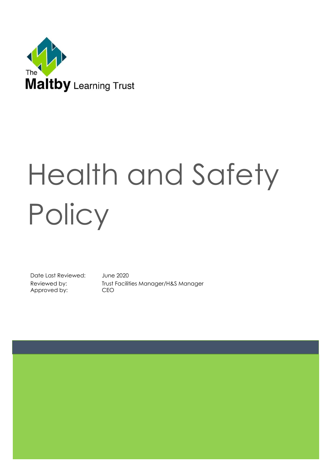

# Health and Safety **Policy**

Date Last Reviewed: June 2020 Approved by: CEO

Reviewed by: Trust Facilities Manager/H&S Manager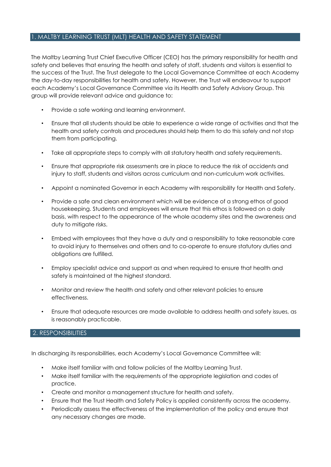#### 1. MALTBY LEARNING TRUST (MLT) HEALTH AND SAFETY STATEMENT

The Maltby Learning Trust Chief Executive Officer (CEO) has the primary responsibility for health and safety and believes that ensuring the health and safety of staff, students and visitors is essential to the success of the Trust. The Trust delegate to the Local Governance Committee at each Academy the day-to-day responsibilities for health and safety. However, the Trust will endeavour to support each Academy's Local Governance Committee via its Health and Safety Advisory Group. This group will provide relevant advice and guidance to:

- Provide a safe working and learning environment.
- Ensure that all students should be able to experience a wide range of activities and that the health and safety controls and procedures should help them to do this safely and not stop them from participating.
- Take all appropriate steps to comply with all statutory health and safety requirements.
- Ensure that appropriate risk assessments are in place to reduce the risk of accidents and injury to staff, students and visitors across curriculum and non-curriculum work activities.
- Appoint a nominated Governor in each Academy with responsibility for Health and Safety.
- Provide a safe and clean environment which will be evidence of a strong ethos of good housekeeping. Students and employees will ensure that this ethos is followed on a daily basis, with respect to the appearance of the whole academy sites and the awareness and duty to mitigate risks.
- Embed with employees that they have a duty and a responsibility to take reasonable care to avoid injury to themselves and others and to co-operate to ensure statutory duties and obligations are fulfilled.
- Employ specialist advice and support as and when required to ensure that health and safety is maintained at the highest standard.
- Monitor and review the health and safety and other relevant policies to ensure effectiveness.
- Ensure that adequate resources are made available to address health and safety issues, as is reasonably practicable.

#### 2. RESPONSIBILITIES

In discharging its responsibilities, each Academy's Local Governance Committee will:

- Make itself familiar with and follow policies of the Maltby Learning Trust.
- Make itself familiar with the requirements of the appropriate legislation and codes of practice.
- Create and monitor a management structure for health and safety.
- Ensure that the Trust Health and Safety Policy is applied consistently across the academy.
- Periodically assess the effectiveness of the implementation of the policy and ensure that any necessary changes are made.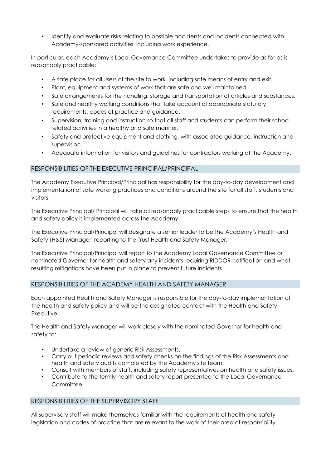• Identify and evaluate risks relating to possible accidents and incidents connected with Academy-sponsored activities, including work experience.

In particular, each Academy's Local Governance Committee undertakes to provide as far as is reasonably practicable:

- A safe place for all users of the site to work, including safe means of entry and exit.
- Plant, equipment and systems of work that are safe and well maintained.
- Safe arrangements for the handling, storage and transportation of articles and substances.
- Safe and healthy working conditions that take account of appropriate statutory requirements, codes of practice and guidance.
- Supervision, training and instruction so that all staff and students can perform their school related activities in a healthy and safe manner.
- Safety and protective equipment and clothing, with associated guidance, instruction and supervision.
- Adequate information for visitors and guidelines for contractors working at the Academy.

# RESPONSIBILITIES OF THE EXECUTIVE PRINCIPAL/PRINCIPAL

The Academy Executive Principal/Principal has responsibility for the day-to-day development and implementation of safe working practices and conditions around the site for all staff, students and visitors.

The Executive Principal/ Principal will take all reasonably practicable steps to ensure that the health and safety policy is implemented across the Academy.

The Executive Principal/Principal will designate a senior leader to be the Academy's Health and Safety (H&S) Manager, reporting to the Trust Health and Safety Manager.

The Executive Principal/Principal will report to the Academy Local Governance Committee or nominated Governor for health and safety any incidents requiring RIDDOR notification and what resulting mitigations have been put in place to prevent future incidents.

#### RESPONSIBILITIES OF THE ACADEMY HEALTH AND SAFETY MANAGER

Each appointed Health and Safety Manager is responsible for the day-to-day implementation of the health and safety policy and will be the designated contact with the Health and Safety Executive.

The Health and Safety Manager will work closely with the nominated Governor for health and safety to:

- Undertake a review of generic Risk Assessments.
- Carry out periodic reviews and safety checks on the findings of the Risk Assessments and health and safety audits completed by the Academy site team.
- Consult with members of staff, including safety representatives on health and safety issues.
- Contribute to the termly health and safety report presented to the Local Governance Committee.

#### RESPONSIBILITIES OF THE SUPERVISORY STAFF

All supervisory staff will make themselves familiar with the requirements of health and safety legislation and codes of practice that are relevant to the work of their area of responsibility.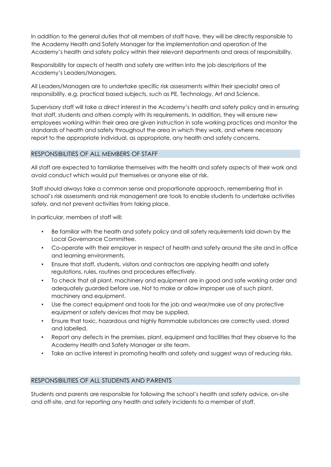In addition to the general duties that all members of staff have, they will be directly responsible to the Academy Health and Safety Manager for the implementation and operation of the Academy's health and safety policy within their relevant departments and areas of responsibility.

Responsibility for aspects of health and safety are written into the job descriptions of the Academy's Leaders/Managers.

All Leaders/Managers are to undertake specific risk assessments within their specialist area of responsibility, e.g. practical based subjects, such as PE, Technology, Art and Science.

Supervisory staff will take a direct interest in the Academy's health and safety policy and in ensuring that staff, students and others comply with its requirements. In addition, they will ensure new employees working within their area are given instruction in safe working practices and monitor the standards of health and safety throughout the area in which they work, and where necessary report to the appropriate individual, as appropriate, any health and safety concerns.

# RESPONSIBILITIES OF ALL MEMBERS OF STAFF

All staff are expected to familiarise themselves with the health and safety aspects of their work and avoid conduct which would put themselves or anyone else at risk.

Staff should always take a common sense and proportionate approach, remembering that in school's risk assessments and risk management are tools to enable students to undertake activities safely, and not prevent activities from taking place.

In particular, members of staff will:

- Be familiar with the health and safety policy and all safety requirements laid down by the Local Governance Committee.
- Co-operate with their employer in respect of health and safety around the site and in office and learning environments.
- Ensure that staff, students, visitors and contractors are applying health and safety regulations, rules, routines and procedures effectively.
- To check that all plant, machinery and equipment are in good and safe working order and adequately guarded before use. Not to make or allow improper use of such plant, machinery and equipment.
- Use the correct equipment and tools for the job and wear/make use of any protective equipment or safety devices that may be supplied.
- Ensure that toxic, hazardous and highly flammable substances are correctly used, stored and labelled.
- Report any defects in the premises, plant, equipment and facilities that they observe to the Academy Health and Safety Manager or site team.
- Take an active interest in promoting health and safety and suggest ways of reducing risks.

# RESPONSIBILITIES OF ALL STUDENTS AND PARENTS

Students and parents are responsible for following the school's health and safety advice, on-site and off-site, and for reporting any health and safety incidents to a member of staff.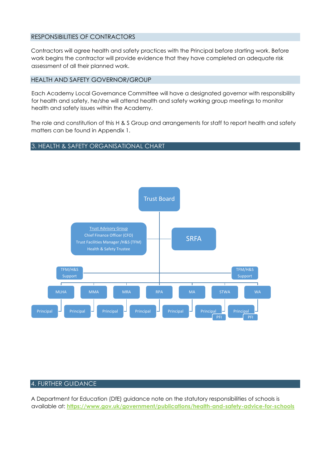#### RESPONSIBILITIES OF CONTRACTORS

Contractors will agree health and safety practices with the Principal before starting work. Before work begins the contractor will provide evidence that they have completed an adequate risk assessment of all their planned work.

#### HEALTH AND SAFETY GOVERNOR/GROUP

Each Academy Local Governance Committee will have a designated governor with responsibility for health and safety, he/she will attend health and safety working group meetings to monitor health and safety issues within the Academy.

The role and constitution of this H & S Group and arrangements for staff to report health and safety matters can be found in Appendix 1.

#### 3. HEALTH & SAFETY ORGANISATIONAL CHART



#### 4. FURTHER GUIDANCE

A Department for Education (DfE) guidance note on the statutory responsibilities of schools is available at: **<https://www.gov.uk/government/publications/health-and-safety-advice-for-schools>**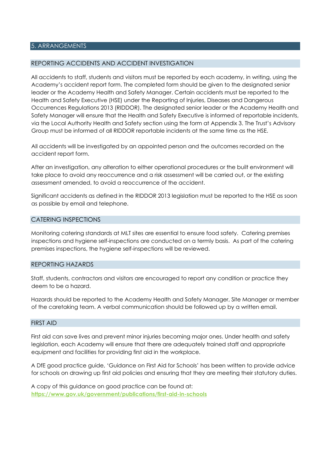#### 5. ARRANGEMENTS

#### REPORTING ACCIDENTS AND ACCIDENT INVESTIGATION

All accidents to staff, students and visitors must be reported by each academy, in writing, using the Academy's accident report form. The completed form should be given to the designated senior leader or the Academy Health and Safety Manager. Certain accidents must be reported to the Health and Safety Executive (HSE) under the Reporting of Injuries, Diseases and Dangerous Occurrences Regulations 2013 (RIDDOR). The designated senior leader or the Academy Health and Safety Manager will ensure that the Health and Safety Executive is informed of reportable incidents, via the Local Authority Health and Safety section using the form at Appendix 3. The Trust's Advisory Group must be informed of all RIDDOR reportable incidents at the same time as the HSE.

All accidents will be investigated by an appointed person and the outcomes recorded on the accident report form.

After an investigation, any alteration to either operational procedures or the built environment will take place to avoid any reoccurrence and a risk assessment will be carried out, or the existing assessment amended, to avoid a reoccurrence of the accident.

Significant accidents as defined in the RIDDOR 2013 legislation must be reported to the HSE as soon as possible by email and telephone.

#### CATERING INSPECTIONS

Monitoring catering standards at MLT sites are essential to ensure food safety. Catering premises inspections and hygiene self-inspections are conducted on a termly basis. As part of the catering premises inspections, the hygiene self-inspections will be reviewed.

#### REPORTING HAZARDS

Staff, students, contractors and visitors are encouraged to report any condition or practice they deem to be a hazard.

Hazards should be reported to the Academy Health and Safety Manager, Site Manager or member of the caretaking team. A verbal communication should be followed up by a written email.

#### FIRST AID

First aid can save lives and prevent minor injuries becoming major ones. Under health and safety legislation, each Academy will ensure that there are adequately trained staff and appropriate equipment and facilities for providing first aid in the workplace.

A DfE good practice guide, 'Guidance on First Aid for Schools' has been written to provide advice for schools on drawing up first aid policies and ensuring that they are meeting their statutory duties.

A copy of this guidance on good practice can be found at: **<https://www.gov.uk/government/publications/first-aid-in-schools>**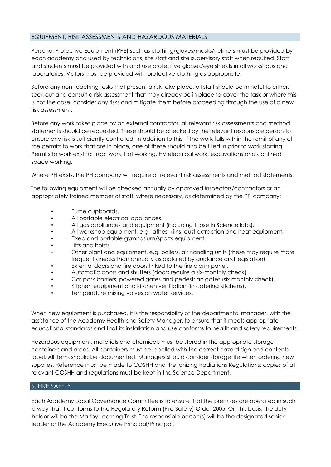# EQUIPMENT, RISK ASSESSMENTS AND HAZARDOUS MATERIALS

Personal Protective Equipment (PPE) such as clothing/gloves/masks/helmets must be provided by each academy and used by technicians, site staff and site supervisory staff when required. Staff and students must be provided with and use protective glasses/eye shields in all workshops and laboratories. Visitors must be provided with protective clothing as appropriate.

Before any non-teaching tasks that present a risk take place, all staff should be mindful to either, seek out and consult a risk assessment that may already be in place to cover the task or where this is not the case, consider any risks and mitigate them before proceeding through the use of a new risk assessment.

Before any work takes place by an external contractor, all relevant risk assessments and method statements should be requested. These should be checked by the relevant responsible person to ensure any risk is sufficiently controlled. In addition to this, if the work falls within the remit of any of the permits to work that are in place, one of these should also be filled in prior to work starting. Permits to work exist for: roof work, hot working, HV electrical work, excavations and confined space working.

Where PFI exists, the PFI company will require all relevant risk assessments and method statements.

The following equipment will be checked annually by approved inspectors/contractors or an appropriately trained member of staff, where necessary, as determined by the PFI company:

- Fume cupboards.
- All portable electrical appliances.
- All gas appliances and equipment (including those in Science labs).
- All workshop equipment, e.g. lathes, kilns, dust extraction and heat equipment.
- Fixed and portable gymnasium/sports equipment.
- Lifts and hoists.
- Other plant and equipment, e.g. boilers, air handling units (these may require more frequent checks than annually as dictated by guidance and legislation).
- External doors and fire doors linked to the fire alarm panel.
- Automatic doors and shutters (doors require a six-monthly check).
- Car park barriers, powered gates and pedestrian gates (six monthly check).
- Kitchen equipment and kitchen ventilation (in catering kitchens).
- Temperature mixing valves on water services.

When new equipment is purchased, it is the responsibility of the departmental manager, with the assistance of the Academy Health and Safety Manager, to ensure that it meets appropriate educational standards and that its installation and use conforms to health and safety requirements.

Hazardous equipment, materials and chemicals must be stored in the appropriate storage containers and areas. All containers must be labelled with the correct hazard sign and contents label. All items should be documented. Managers should consider storage life when ordering new supplies. Reference must be made to COSHH and the Ionizing Radiations Regulations; copies of all relevant COSHH and regulations must be kept in the Science Department.

#### 6. FIRE SAFETY

Each Academy Local Governance Committee is to ensure that the premises are operated in such a way that it conforms to the Regulatory Reform (Fire Safety) Order 2005. On this basis, the duty holder will be the Maltby Learning Trust. The responsible person(s) will be the designated senior leader or the Academy Executive Principal/Principal.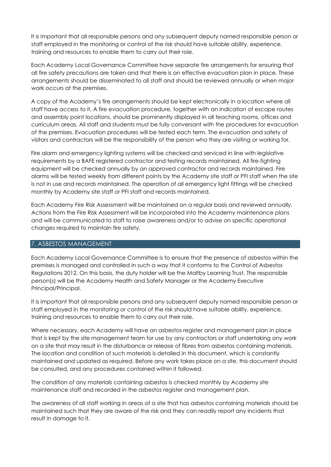It is important that all responsible persons and any subsequent deputy named responsible person or staff employed in the monitoring or control of the risk should have suitable ability, experience, training and resources to enable them to carry out their role.

Each Academy Local Governance Committee have separate fire arrangements for ensuring that all fire safety precautions are taken and that there is an effective evacuation plan in place. These arrangements should be disseminated to all staff and should be reviewed annually or when major work occurs at the premises.

A copy of the Academy's fire arrangements should be kept electronically in a location where all staff have access to it. A fire evacuation procedure, together with an indication of escape routes and assembly point locations, should be prominently displayed in all teaching rooms, offices and curriculum areas. All staff and students must be fully conversant with the procedures for evacuation of the premises. Evacuation procedures will be tested each term. The evacuation and safety of visitors and contractors will be the responsibility of the person who they are visiting or working for.

Fire alarm and emergency lighting systems will be checked and serviced in line with legislative requirements by a BAFE registered contractor and testing records maintained. All fire-fighting equipment will be checked annually by an approved contractor and records maintained. Fire alarms will be tested weekly from different points by the Academy site staff or PFI staff when the site is not in use and records maintained. The operation of all emergency light fittings will be checked monthly by Academy site staff or PFI staff and records maintained.

Each Academy Fire Risk Assessment will be maintained on a regular basis and reviewed annually. Actions from the Fire Risk Assessment will be incorporated into the Academy maintenance plans and will be communicated to staff to raise awareness and/or to advise on specific operational changes required to maintain fire safety.

#### 7. ASBESTOS MANAGEMENT

Each Academy Local Governance Committee is to ensure that the presence of asbestos within the premises is managed and controlled in such a way that it conforms to the Control of Asbestos Regulations 2012. On this basis, the duty holder will be the Maltby Learning Trust. The responsible person(s) will be the Academy Health and Safety Manager or the Academy Executive Principal/Principal.

It is important that all responsible persons and any subsequent deputy named responsible person or staff employed in the monitoring or control of the risk should have suitable ability, experience, training and resources to enable them to carry out their role.

Where necessary, each Academy will have an asbestos register and management plan in place that is kept by the site management team for use by any contractors or staff undertaking any work on a site that may result in the disturbance or release of fibres from asbestos containing materials. The location and condition of such materials is detailed in this document, which is constantly maintained and updated as required. Before any work takes place on a site, this document should be consulted, and any procedures contained within it followed.

The condition of any materials containing asbestos is checked monthly by Academy site maintenance staff and recorded in the asbestos register and management plan.

The awareness of all staff working in areas of a site that has asbestos containing materials should be maintained such that they are aware of the risk and they can readily report any incidents that result in damage to it.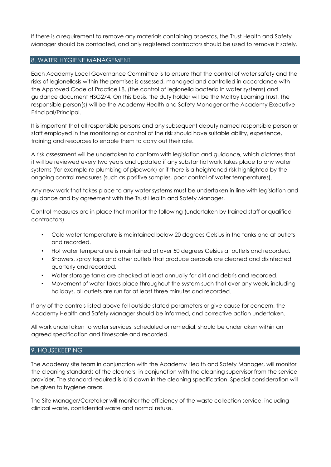If there is a requirement to remove any materials containing asbestos, the Trust Health and Safety Manager should be contacted, and only registered contractors should be used to remove it safely.

#### 8. WATER HYGIENE MANAGEMENT

Each Academy Local Governance Committee is to ensure that the control of water safety and the risks of legionellosis within the premises is assessed, managed and controlled in accordance with the Approved Code of Practice L8, (the control of legionella bacteria in water systems) and guidance document HSG274. On this basis, the duty holder will be the Maltby Learning Trust. The responsible person(s) will be the Academy Health and Safety Manager or the Academy Executive Principal/Principal.

It is important that all responsible persons and any subsequent deputy named responsible person or staff employed in the monitoring or control of the risk should have suitable ability, experience, training and resources to enable them to carry out their role.

A risk assessment will be undertaken to conform with legislation and guidance, which dictates that it will be reviewed every two years and updated if any substantial work takes place to any water systems (for example re-plumbing of pipework) or if there is a heightened risk highlighted by the ongoing control measures (such as positive samples, poor control of water temperatures).

Any new work that takes place to any water systems must be undertaken in line with legislation and guidance and by agreement with the Trust Health and Safety Manager.

Control measures are in place that monitor the following (undertaken by trained staff or qualified contractors)

- Cold water temperature is maintained below 20 degrees Celsius in the tanks and at outlets and recorded.
- Hot water temperature is maintained at over 50 degrees Celsius at outlets and recorded.
- Showers, spray taps and other outlets that produce aerosols are cleaned and disinfected quarterly and recorded.
- Water storage tanks are checked at least annually for dirt and debris and recorded.
- Movement of water takes place throughout the system such that over any week, including holidays, all outlets are run for at least three minutes and recorded.

If any of the controls listed above fall outside stated parameters or give cause for concern, the Academy Health and Safety Manager should be informed, and corrective action undertaken.

All work undertaken to water services, scheduled or remedial, should be undertaken within an agreed specification and timescale and recorded.

#### 9. HOUSEKEEPING

The Academy site team in conjunction with the Academy Health and Safety Manager, will monitor the cleaning standards of the cleaners, in conjunction with the cleaning supervisor from the service provider. The standard required is laid down in the cleaning specification. Special consideration will be given to hygiene areas.

The Site Manager/Caretaker will monitor the efficiency of the waste collection service, including clinical waste, confidential waste and normal refuse.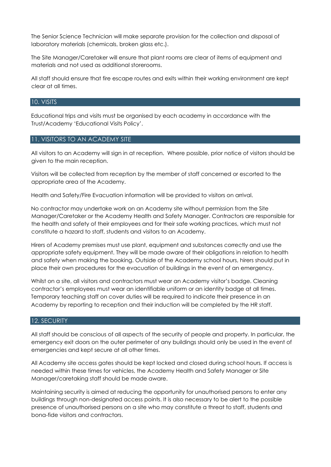The Senior Science Technician will make separate provision for the collection and disposal of laboratory materials (chemicals, broken glass etc.).

The Site Manager/Caretaker will ensure that plant rooms are clear of items of equipment and materials and not used as additional storerooms.

All staff should ensure that fire escape routes and exits within their working environment are kept clear at all times.

#### 10. VISITS

Educational trips and visits must be organised by each academy in accordance with the Trust/Academy 'Educational Visits Policy'.

#### 11. VISITORS TO AN ACADEMY SITE

All visitors to an Academy will sign in at reception. Where possible, prior notice of visitors should be given to the main reception.

Visitors will be collected from reception by the member of staff concerned or escorted to the appropriate area of the Academy.

Health and Safety/Fire Evacuation information will be provided to visitors on arrival.

No contractor may undertake work on an Academy site without permission from the Site Manager/Caretaker or the Academy Health and Safety Manager. Contractors are responsible for the health and safety of their employees and for their safe working practices, which must not constitute a hazard to staff, students and visitors to an Academy.

Hirers of Academy premises must use plant, equipment and substances correctly and use the appropriate safety equipment. They will be made aware of their obligations in relation to health and safety when making the booking. Outside of the Academy school hours, hirers should put in place their own procedures for the evacuation of buildings in the event of an emergency.

Whilst on a site, all visitors and contractors must wear an Academy visitor's badge. Cleaning contractor's employees must wear an identifiable uniform or an identity badge at all times. Temporary teaching staff on cover duties will be required to indicate their presence in an Academy by reporting to reception and their induction will be completed by the HR staff.

#### 12. SECURITY

All staff should be conscious of all aspects of the security of people and property. In particular, the emergency exit doors on the outer perimeter of any buildings should only be used in the event of emergencies and kept secure at all other times.

All Academy site access gates should be kept locked and closed during school hours. If access is needed within these times for vehicles, the Academy Health and Safety Manager or Site Manager/caretaking staff should be made aware.

Maintaining security is aimed at reducing the opportunity for unauthorised persons to enter any buildings through non-designated access points. It is also necessary to be alert to the possible presence of unauthorised persons on a site who may constitute a threat to staff, students and bona-fide visitors and contractors.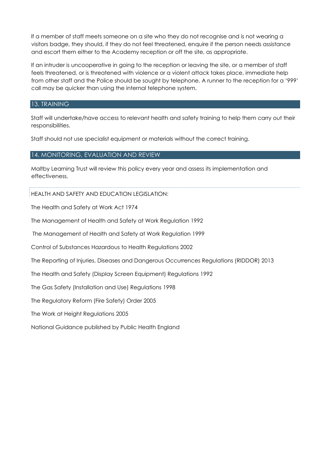If a member of staff meets someone on a site who they do not recognise and is not wearing a visitors badge, they should, if they do not feel threatened, enquire if the person needs assistance and escort them either to the Academy reception or off the site, as appropriate.

If an intruder is uncooperative in going to the reception or leaving the site, or a member of staff feels threatened, or is threatened with violence or a violent attack takes place, immediate help from other staff and the Police should be sought by telephone. A runner to the reception for a '999' call may be quicker than using the internal telephone system.

#### 13. TRAINING

Staff will undertake/have access to relevant health and safety training to help them carry out their responsibilities.

Staff should not use specialist equipment or materials without the correct training.

#### 14. MONITORING, EVALUATION AND REVIEW

Maltby Learning Trust will review this policy every year and assess its implementation and effectiveness.

HEALTH AND SAFETY AND EDUCATION LEGISLATION:

The Health and Safety at Work Act 1974

The Management of Health and Safety at Work Regulation 1992

The Management of Health and Safety at Work Regulation 1999

Control of Substances Hazardous to Health Regulations 2002

The Reporting of Injuries, Diseases and Dangerous Occurrences Regulations (RIDDOR) 2013

The Health and Safety (Display Screen Equipment) Regulations 1992

The Gas Safety (Installation and Use) Regulations 1998

The Regulatory Reform (Fire Safety) Order 2005

The Work at Height Regulations 2005

National Guidance published by Public Health England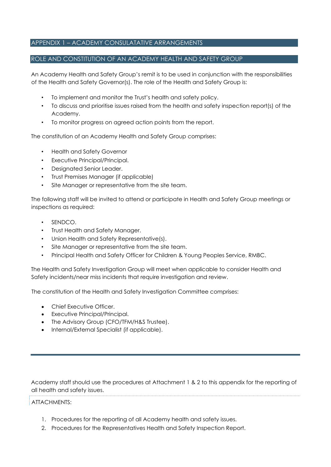# APPENDIX 1 – ACADEMY CONSULATATIVE ARRANGEMENTS

#### ROLE AND CONSTITUTION OF AN ACADEMY HEALTH AND SAFETY GROUP

An Academy Health and Safety Group's remit is to be used in conjunction with the responsibilities of the Health and Safety Governor(s). The role of the Health and Safety Group is:

- To implement and monitor the Trust's health and safety policy.
- To discuss and prioritise issues raised from the health and safety inspection report(s) of the Academy.
- To monitor progress on agreed action points from the report.

The constitution of an Academy Health and Safety Group comprises:

- Health and Safety Governor
- Executive Principal/Principal.
- Designated Senior Leader.
- Trust Premises Manager (if applicable)
- Site Manager or representative from the site team.

The following staff will be invited to attend or participate in Health and Safety Group meetings or inspections as required:

- SENDCO.
- Trust Health and Safety Manager.
- Union Health and Safety Representative(s).
- Site Manager or representative from the site team.
- Principal Health and Safety Officer for Children & Young Peoples Service, RMBC.

The Health and Safety Investigation Group will meet when applicable to consider Health and Safety incidents/near miss incidents that require investigation and review.

The constitution of the Health and Safety Investigation Committee comprises:

- Chief Executive Officer.
- Executive Principal/Principal.
- The Advisory Group (CFO/TFM/H&S Trustee).
- Internal/External Specialist (if applicable).

Academy staff should use the procedures at Attachment 1 & 2 to this appendix for the reporting of all health and safety issues.

#### ATTACHMENTS:

- 1. Procedures for the reporting of all Academy health and safety issues.
- 2. Procedures for the Representatives Health and Safety Inspection Report.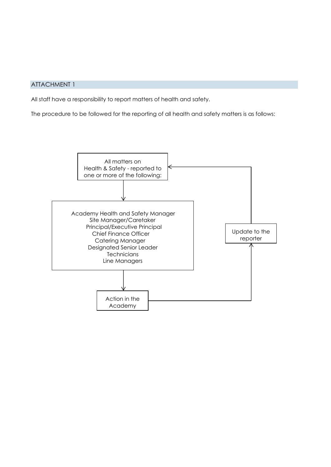# ATTACHMENT 1

All staff have a responsibility to report matters of health and safety.

The procedure to be followed for the reporting of all health and safety matters is as follows:

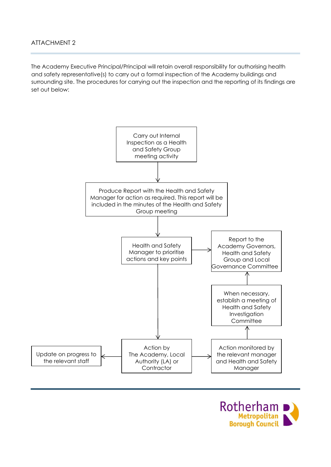The Academy Executive Principal/Principal will retain overall responsibility for authorising health and safety representative(s) to carry out a formal inspection of the Academy buildings and surrounding site. The procedures for carrying out the inspection and the reporting of its findings are set out below:



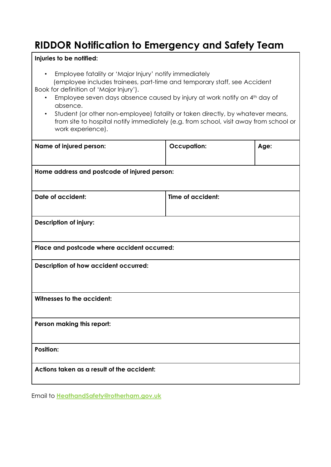# **RIDDOR Notification to Emergency and Safety Team**

# **Injuries to be notified:**

• Employee fatality or 'Major Injury' notify immediately

 (employee includes trainees, part-time and temporary staff, see Accident Book for definition of 'Major Injury').

- Employee seven days absence caused by injury at work notify on 4<sup>th</sup> day of absence.
- Student (or other non-employee) fatality or taken directly, by whatever means, from site to hospital notify immediately (e.g. from school, visit away from school or work experience).

| Name of injured person:                      | <b>Occupation:</b> | Age: |
|----------------------------------------------|--------------------|------|
| Home address and postcode of injured person: |                    |      |
| <b>Date of accident:</b>                     | Time of accident:  |      |
| <b>Description of injury:</b>                |                    |      |
| Place and postcode where accident occurred:  |                    |      |
| Description of how accident occurred:        |                    |      |
| Witnesses to the accident:                   |                    |      |
| Person making this report:                   |                    |      |
| <b>Position:</b>                             |                    |      |
| Actions taken as a result of the accident:   |                    |      |

Email to **HeathandSafety@rotherham.gov.uk**